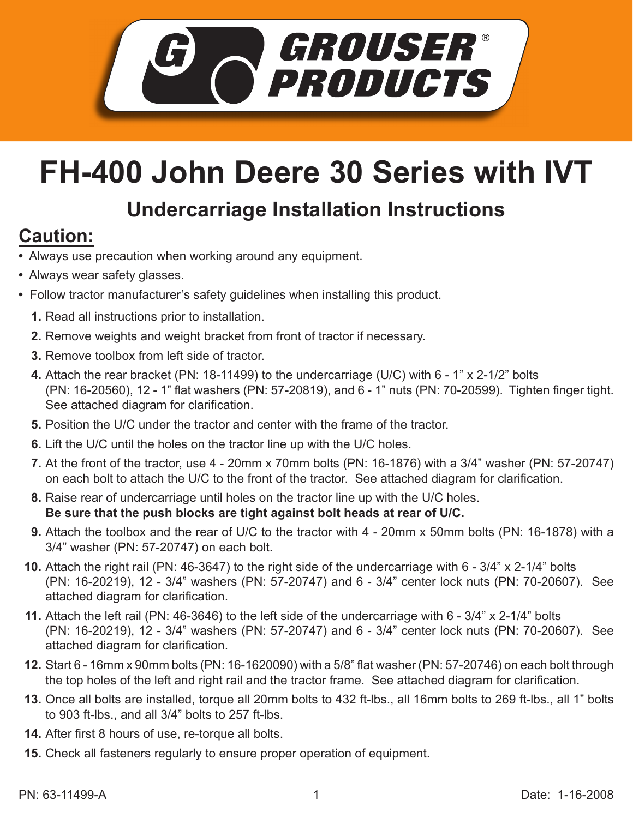

## **FH-400 John Deere 30 Series with IVT**

## **Undercarriage Installation Instructions**

## **Caution:**

- Always use precaution when working around any equipment.
- Always wear safety glasses.
- Follow tractor manufacturer's safety guidelines when installing this product.
	- **1.** Read all instructions prior to installation.
	- 2. Remove weights and weight bracket from front of tractor if necessary.
	- **3.** Remove toolbox from left side of tractor.
	- Attach the rear bracket (PN: 18-11499) to the undercarriage (U/C) with 6 1" x 2-1/2" bolts **4.** (PN: 16-20560), 12 - 1" flat washers (PN: 57-20819), and 6 - 1" nuts (PN: 70-20599). Tighten finger tight. See attached diagram for clarification.
	- **5.** Position the U/C under the tractor and center with the frame of the tractor.
	- **6.** Lift the U/C until the holes on the tractor line up with the U/C holes.
	- At the front of the tractor, use 4 20mm x 70mm bolts (PN: 16-1876) with a 3/4" washer (PN: 57-20747) **7.** on each bolt to attach the U/C to the front of the tractor. See attached diagram for clarification.
	- Raise rear of undercarriage until holes on the tractor line up with the U/C holes. **8. Be sure that the push blocks are tight against bolt heads at rear of U/C.**
	- Attach the toolbox and the rear of U/C to the tractor with 4 20mm x 50mm bolts (PN: 16-1878) with a **9.** 3/4" washer (PN: 57-20747) on each bolt.
	- **10.** Attach the right rail (PN: 46-3647) to the right side of the undercarriage with 6 3/4" x 2-1/4" bolts (PN: 16-20219), 12 - 3/4" washers (PN: 57-20747) and 6 - 3/4" center lock nuts (PN: 70-20607). See attached diagram for clarification.
	- Attach the left rail (PN: 46-3646) to the left side of the undercarriage with 6 3/4" x 2-1/4" bolts **11.** (PN: 16-20219), 12 - 3/4" washers (PN: 57-20747) and 6 - 3/4" center lock nuts (PN: 70-20607). See attached diagram for clarification.
	- **12.** Start 6 16mm x 90mm bolts (PN: 16-1620090) with a 5/8" flat washer (PN: 57-20746) on each bolt through the top holes of the left and right rail and the tractor frame. See attached diagram for clarification.
	- **13.** Once all bolts are installed, torque all 20mm bolts to 432 ft-lbs., all 16mm bolts to 269 ft-lbs., all 1" bolts to 903 ft-lbs., and all 3/4" bolts to 257 ft-lbs.
	- **14.** After first 8 hours of use, re-torque all bolts.
	- **15.** Check all fasteners regularly to ensure proper operation of equipment.